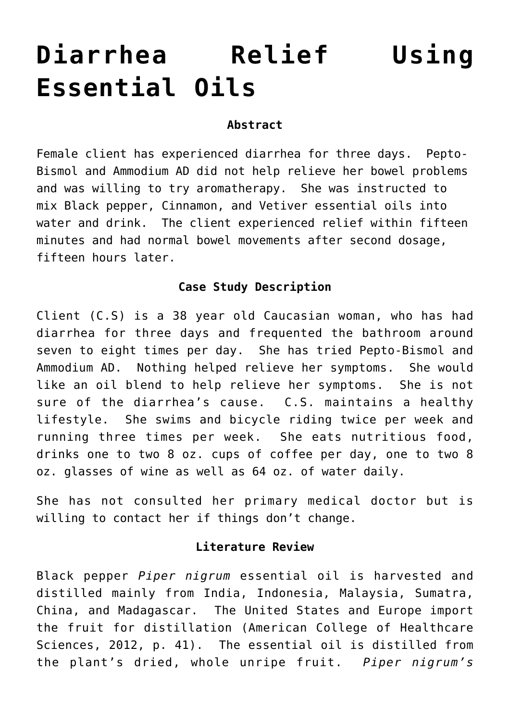# **[Diarrhea Relief Using](http://michaelspackman.com/recipe/diarrhea-relief-using-essential-oils/) [Essential Oils](http://michaelspackman.com/recipe/diarrhea-relief-using-essential-oils/)**

# **Abstract**

Female client has experienced diarrhea for three days. Pepto-Bismol and Ammodium AD did not help relieve her bowel problems and was willing to try aromatherapy. She was instructed to mix Black pepper, Cinnamon, and Vetiver essential oils into water and drink. The client experienced relief within fifteen minutes and had normal bowel movements after second dosage, fifteen hours later.

# **Case Study Description**

Client (C.S) is a 38 year old Caucasian woman, who has had diarrhea for three days and frequented the bathroom around seven to eight times per day. She has tried Pepto-Bismol and Ammodium AD. Nothing helped relieve her symptoms. She would like an oil blend to help relieve her symptoms. She is not sure of the diarrhea's cause. C.S. maintains a healthy lifestyle. She swims and bicycle riding twice per week and running three times per week. She eats nutritious food, drinks one to two 8 oz. cups of coffee per day, one to two 8 oz. glasses of wine as well as 64 oz. of water daily.

She has not consulted her primary medical doctor but is willing to contact her if things don't change.

### **Literature Review**

Black pepper *Piper nigrum* essential oil is harvested and distilled mainly from India, Indonesia, Malaysia, Sumatra, China, and Madagascar. The United States and Europe import the fruit for distillation (American College of Healthcare Sciences, 2012, p. 41). The essential oil is distilled from the plant's dried, whole unripe fruit. *Piper nigrum's*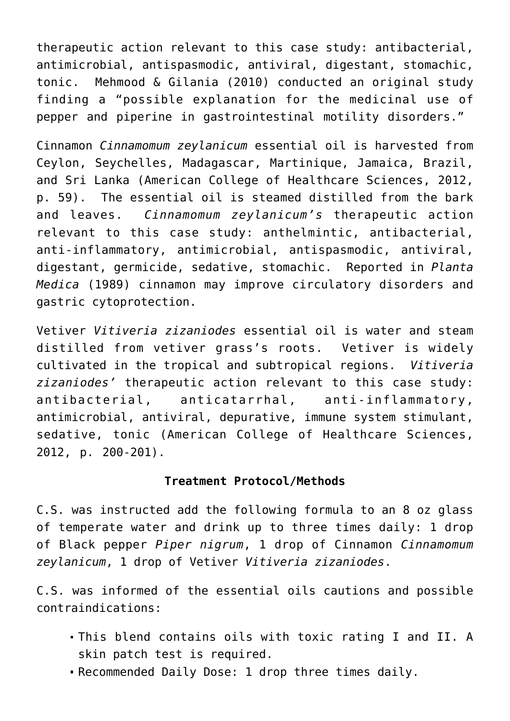therapeutic action relevant to this case study: antibacterial, antimicrobial, antispasmodic, antiviral, digestant, stomachic, tonic. Mehmood & Gilania (2010) conducted an original study finding a "possible explanation for the medicinal use of pepper and piperine in gastrointestinal motility disorders."

Cinnamon *Cinnamomum zeylanicum* essential oil is harvested from Ceylon, Seychelles, Madagascar, Martinique, Jamaica, Brazil, and Sri Lanka (American College of Healthcare Sciences, 2012, p. 59). The essential oil is steamed distilled from the bark and leaves. *Cinnamomum zeylanicum's* therapeutic action relevant to this case study: anthelmintic, antibacterial, anti-inflammatory, antimicrobial, antispasmodic, antiviral, digestant, germicide, sedative, stomachic. Reported in *Planta Medica* (1989) cinnamon may improve circulatory disorders and gastric cytoprotection.

Vetiver *Vitiveria zizaniodes* essential oil is water and steam distilled from vetiver grass's roots. Vetiver is widely cultivated in the tropical and subtropical regions. *Vitiveria zizaniodes'* therapeutic action relevant to this case study: antibacterial, anticatarrhal, anti-inflammatory, antimicrobial, antiviral, depurative, immune system stimulant, sedative, tonic (American College of Healthcare Sciences, 2012, p. 200-201).

# **Treatment Protocol/Methods**

C.S. was instructed add the following formula to an 8 oz glass of temperate water and drink up to three times daily: 1 drop of Black pepper *Piper nigrum*, 1 drop of Cinnamon *Cinnamomum zeylanicum*, 1 drop of Vetiver *Vitiveria zizaniodes*.

C.S. was informed of the essential oils cautions and possible contraindications:

- This blend contains oils with toxic rating I and II. A skin patch test is required.
- Recommended Daily Dose: 1 drop three times daily.